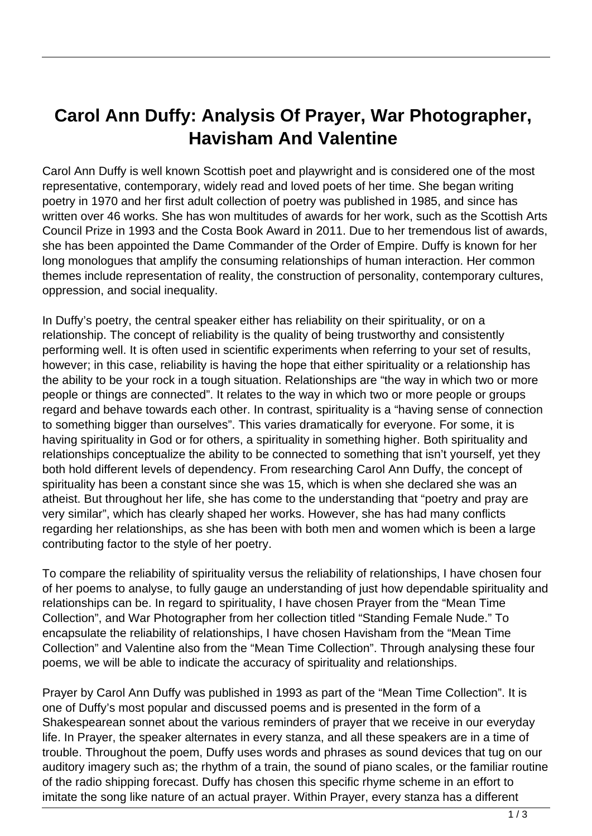## **Carol Ann Duffy: Analysis Of Prayer, War Photographer, Havisham And Valentine**

Carol Ann Duffy is well known Scottish poet and playwright and is considered one of the most representative, contemporary, widely read and loved poets of her time. She began writing poetry in 1970 and her first adult collection of poetry was published in 1985, and since has written over 46 works. She has won multitudes of awards for her work, such as the Scottish Arts Council Prize in 1993 and the Costa Book Award in 2011. Due to her tremendous list of awards, she has been appointed the Dame Commander of the Order of Empire. Duffy is known for her long monologues that amplify the consuming relationships of human interaction. Her common themes include representation of reality, the construction of personality, contemporary cultures, oppression, and social inequality.

In Duffy's poetry, the central speaker either has reliability on their spirituality, or on a relationship. The concept of reliability is the quality of being trustworthy and consistently performing well. It is often used in scientific experiments when referring to your set of results, however; in this case, reliability is having the hope that either spirituality or a relationship has the ability to be your rock in a tough situation. Relationships are "the way in which two or more people or things are connected". It relates to the way in which two or more people or groups regard and behave towards each other. In contrast, spirituality is a "having sense of connection to something bigger than ourselves". This varies dramatically for everyone. For some, it is having spirituality in God or for others, a spirituality in something higher. Both spirituality and relationships conceptualize the ability to be connected to something that isn't yourself, yet they both hold different levels of dependency. From researching Carol Ann Duffy, the concept of spirituality has been a constant since she was 15, which is when she declared she was an atheist. But throughout her life, she has come to the understanding that "poetry and pray are very similar", which has clearly shaped her works. However, she has had many conflicts regarding her relationships, as she has been with both men and women which is been a large contributing factor to the style of her poetry.

To compare the reliability of spirituality versus the reliability of relationships, I have chosen four of her poems to analyse, to fully gauge an understanding of just how dependable spirituality and relationships can be. In regard to spirituality, I have chosen Prayer from the "Mean Time Collection", and War Photographer from her collection titled "Standing Female Nude." To encapsulate the reliability of relationships, I have chosen Havisham from the "Mean Time Collection" and Valentine also from the "Mean Time Collection". Through analysing these four poems, we will be able to indicate the accuracy of spirituality and relationships.

Prayer by Carol Ann Duffy was published in 1993 as part of the "Mean Time Collection". It is one of Duffy's most popular and discussed poems and is presented in the form of a Shakespearean sonnet about the various reminders of prayer that we receive in our everyday life. In Prayer, the speaker alternates in every stanza, and all these speakers are in a time of trouble. Throughout the poem, Duffy uses words and phrases as sound devices that tug on our auditory imagery such as; the rhythm of a train, the sound of piano scales, or the familiar routine of the radio shipping forecast. Duffy has chosen this specific rhyme scheme in an effort to imitate the song like nature of an actual prayer. Within Prayer, every stanza has a different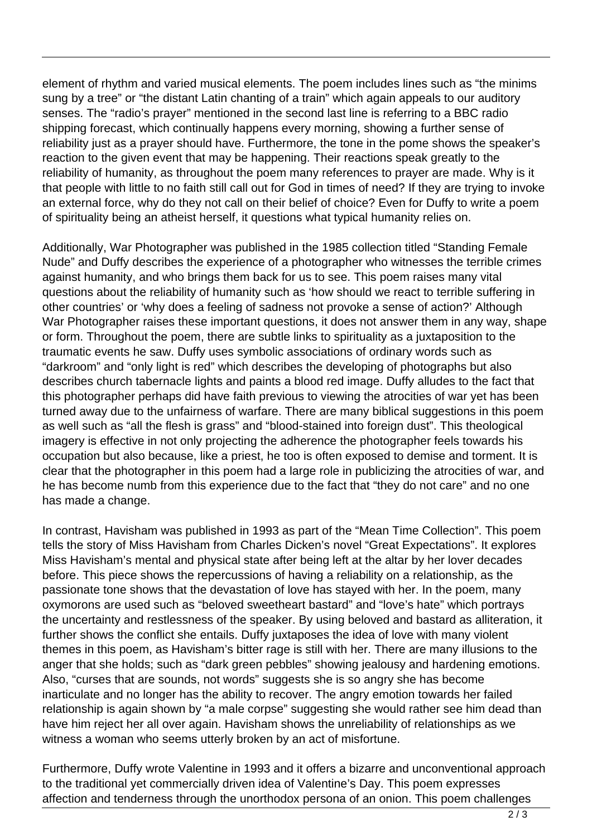element of rhythm and varied musical elements. The poem includes lines such as "the minims sung by a tree" or "the distant Latin chanting of a train" which again appeals to our auditory senses. The "radio's prayer" mentioned in the second last line is referring to a BBC radio shipping forecast, which continually happens every morning, showing a further sense of reliability just as a prayer should have. Furthermore, the tone in the pome shows the speaker's reaction to the given event that may be happening. Their reactions speak greatly to the reliability of humanity, as throughout the poem many references to prayer are made. Why is it that people with little to no faith still call out for God in times of need? If they are trying to invoke an external force, why do they not call on their belief of choice? Even for Duffy to write a poem of spirituality being an atheist herself, it questions what typical humanity relies on.

Additionally, War Photographer was published in the 1985 collection titled "Standing Female Nude" and Duffy describes the experience of a photographer who witnesses the terrible crimes against humanity, and who brings them back for us to see. This poem raises many vital questions about the reliability of humanity such as 'how should we react to terrible suffering in other countries' or 'why does a feeling of sadness not provoke a sense of action?' Although War Photographer raises these important questions, it does not answer them in any way, shape or form. Throughout the poem, there are subtle links to spirituality as a juxtaposition to the traumatic events he saw. Duffy uses symbolic associations of ordinary words such as "darkroom" and "only light is red" which describes the developing of photographs but also describes church tabernacle lights and paints a blood red image. Duffy alludes to the fact that this photographer perhaps did have faith previous to viewing the atrocities of war yet has been turned away due to the unfairness of warfare. There are many biblical suggestions in this poem as well such as "all the flesh is grass" and "blood-stained into foreign dust". This theological imagery is effective in not only projecting the adherence the photographer feels towards his occupation but also because, like a priest, he too is often exposed to demise and torment. It is clear that the photographer in this poem had a large role in publicizing the atrocities of war, and he has become numb from this experience due to the fact that "they do not care" and no one has made a change.

In contrast, Havisham was published in 1993 as part of the "Mean Time Collection". This poem tells the story of Miss Havisham from Charles Dicken's novel "Great Expectations". It explores Miss Havisham's mental and physical state after being left at the altar by her lover decades before. This piece shows the repercussions of having a reliability on a relationship, as the passionate tone shows that the devastation of love has stayed with her. In the poem, many oxymorons are used such as "beloved sweetheart bastard" and "love's hate" which portrays the uncertainty and restlessness of the speaker. By using beloved and bastard as alliteration, it further shows the conflict she entails. Duffy juxtaposes the idea of love with many violent themes in this poem, as Havisham's bitter rage is still with her. There are many illusions to the anger that she holds; such as "dark green pebbles" showing jealousy and hardening emotions. Also, "curses that are sounds, not words" suggests she is so angry she has become inarticulate and no longer has the ability to recover. The angry emotion towards her failed relationship is again shown by "a male corpse" suggesting she would rather see him dead than have him reject her all over again. Havisham shows the unreliability of relationships as we witness a woman who seems utterly broken by an act of misfortune.

Furthermore, Duffy wrote Valentine in 1993 and it offers a bizarre and unconventional approach to the traditional yet commercially driven idea of Valentine's Day. This poem expresses affection and tenderness through the unorthodox persona of an onion. This poem challenges